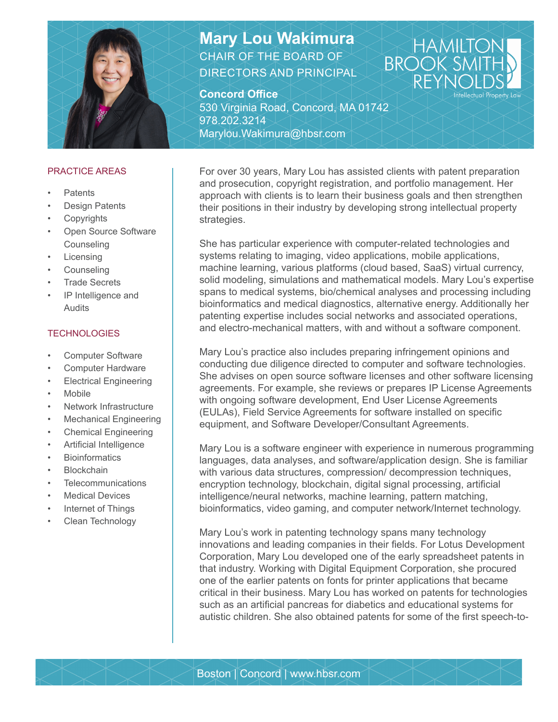

### PRACTICE AREAS

- Patents
- **Design Patents**
- **Copyrights**
- Open Source Software Counseling
- **Licensing**
- **Counseling**
- Trade Secrets
- IP Intelligence and Audits

### **TECHNOLOGIES**

- Computer Software
- Computer Hardware
- **Electrical Engineering**
- **Mobile**
- Network Infrastructure
- Mechanical Engineering
- Chemical Engineering
- Artificial Intelligence
- **Bioinformatics**
- **Blockchain**
- **Telecommunications**
- **Medical Devices**
- Internet of Things
- Clean Technology

# **Mary Lou Wakimura** CHAIR OF THE BOARD OF DIRECTORS AND PRINCIPAL

## **Concord Office**

530 Virginia Road, Concord, MA 01742 978.202.3214 Marylou.Wakimura@hbsr.com

For over 30 years, Mary Lou has assisted clients with patent preparation and prosecution, copyright registration, and portfolio management. Her approach with clients is to learn their business goals and then strengthen their positions in their industry by developing strong intellectual property strategies.

HAMI

ellectual Property Law

**BROO** 

She has particular experience with computer-related technologies and systems relating to imaging, video applications, mobile applications, machine learning, various platforms (cloud based, SaaS) virtual currency, solid modeling, simulations and mathematical models. Mary Lou's expertise spans to medical systems, bio/chemical analyses and processing including bioinformatics and medical diagnostics, alternative energy. Additionally her patenting expertise includes social networks and associated operations, and electro-mechanical matters, with and without a software component.

Mary Lou's practice also includes preparing infringement opinions and conducting due diligence directed to computer and software technologies. She advises on open source software licenses and other software licensing agreements. For example, she reviews or prepares IP License Agreements with ongoing software development, End User License Agreements (EULAs), Field Service Agreements for software installed on specific equipment, and Software Developer/Consultant Agreements.

Mary Lou is a software engineer with experience in numerous programming languages, data analyses, and software/application design. She is familiar with various data structures, compression/ decompression techniques, encryption technology, blockchain, digital signal processing, artificial intelligence/neural networks, machine learning, pattern matching, bioinformatics, video gaming, and computer network/Internet technology.

Mary Lou's work in patenting technology spans many technology innovations and leading companies in their fields. For Lotus Development Corporation, Mary Lou developed one of the early spreadsheet patents in that industry. Working with Digital Equipment Corporation, she procured one of the earlier patents on fonts for printer applications that became critical in their business. Mary Lou has worked on patents for technologies such as an artificial pancreas for diabetics and educational systems for autistic children. She also obtained patents for some of the first speech-to-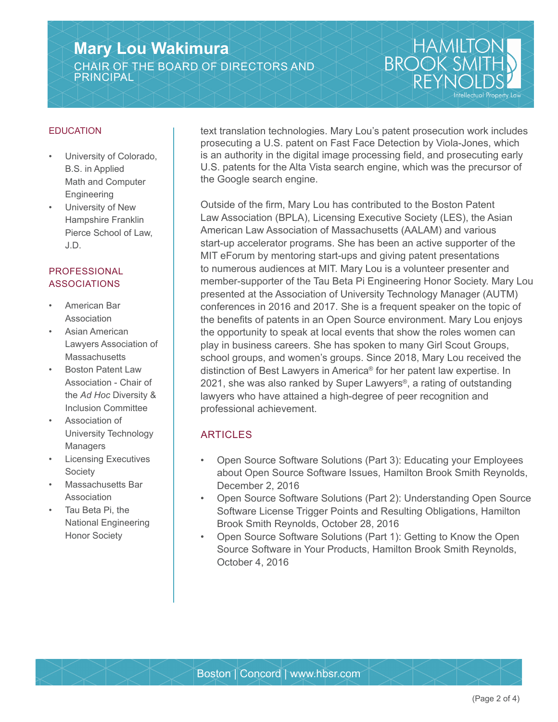# **Mary Lou Wakimura** CHAIR OF THE BOARD OF DIRECTORS AND PRINCIPAL

### EDUCATION

- University of Colorado, B.S. in Applied Math and Computer **Engineering**
- University of New Hampshire Franklin Pierce School of Law, J.D.

## **PROFESSIONAL** ASSOCIATIONS

- American Bar Association
- Asian American Lawyers Association of **Massachusetts**
- Boston Patent Law Association - Chair of the *Ad Hoc* Diversity & Inclusion Committee
- Association of University Technology Managers
- **Licensing Executives** Society
- Massachusetts Bar Association
- Tau Beta Pi, the National Engineering Honor Society

text translation technologies. Mary Lou's patent prosecution work includes prosecuting a U.S. patent on Fast Face Detection by Viola-Jones, which is an authority in the digital image processing field, and prosecuting early U.S. patents for the Alta Vista search engine, which was the precursor of the Google search engine.

HAMIK

ellectual Property Law

**BROOK** 

Outside of the firm, Mary Lou has contributed to the Boston Patent Law Association (BPLA), Licensing Executive Society (LES), the Asian American Law Association of Massachusetts (AALAM) and various start-up accelerator programs. She has been an active supporter of the MIT eForum by mentoring start-ups and giving patent presentations to numerous audiences at MIT. Mary Lou is a volunteer presenter and member-supporter of the Tau Beta Pi Engineering Honor Society. Mary Lou presented at the Association of University Technology Manager (AUTM) conferences in 2016 and 2017. She is a frequent speaker on the topic of the benefits of patents in an Open Source environment. Mary Lou enjoys the opportunity to speak at local events that show the roles women can play in business careers. She has spoken to many Girl Scout Groups, school groups, and women's groups. Since 2018, Mary Lou received the distinction of Best Lawyers in America® for her patent law expertise. In 2021, she was also ranked by Super Lawyers<sup>®</sup>, a rating of outstanding lawyers who have attained a high-degree of peer recognition and professional achievement.

# ARTICLES

- Open Source Software Solutions (Part 3): Educating your Employees about Open Source Software Issues, Hamilton Brook Smith Reynolds, December 2, 2016
- Open Source Software Solutions (Part 2): Understanding Open Source Software License Trigger Points and Resulting Obligations, Hamilton Brook Smith Reynolds, October 28, 2016
- Open Source Software Solutions (Part 1): Getting to Know the Open Source Software in Your Products, Hamilton Brook Smith Reynolds, October 4, 2016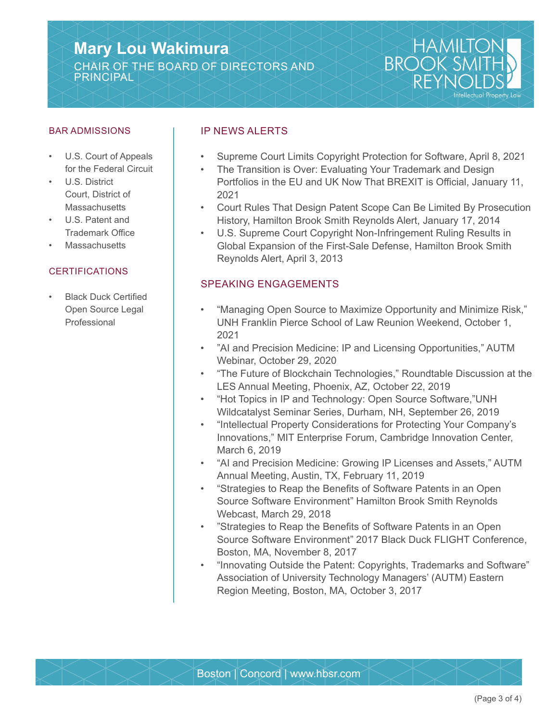# **Mary Lou Wakimura** CHAIR OF THE BOARD OF DIRECTORS AND PRINCIPAL



#### BAR ADMISSIONS

- U.S. Court of Appeals for the Federal Circuit
- U.S. District Court, District of **Massachusetts**
- U.S. Patent and Trademark Office
- **Massachusetts**

#### **CERTIFICATIONS**

• Black Duck Certified Open Source Legal Professional

### IP NEWS ALERTS

- Supreme Court Limits Copyright Protection for Software, April 8, 2021
- The Transition is Over: Evaluating Your Trademark and Design Portfolios in the EU and UK Now That BREXIT is Official, January 11, 2021
- Court Rules That Design Patent Scope Can Be Limited By Prosecution History, Hamilton Brook Smith Reynolds Alert, January 17, 2014
- U.S. Supreme Court Copyright Non-Infringement Ruling Results in Global Expansion of the First-Sale Defense, Hamilton Brook Smith Reynolds Alert, April 3, 2013

### SPEAKING ENGAGEMENTS

- "Managing Open Source to Maximize Opportunity and Minimize Risk," UNH Franklin Pierce School of Law Reunion Weekend, October 1, 2021
- "AI and Precision Medicine: IP and Licensing Opportunities," AUTM Webinar, October 29, 2020
- "The Future of Blockchain Technologies," Roundtable Discussion at the LES Annual Meeting, Phoenix, AZ, October 22, 2019
- "Hot Topics in IP and Technology: Open Source Software,"UNH Wildcatalyst Seminar Series, Durham, NH, September 26, 2019
- "Intellectual Property Considerations for Protecting Your Company's Innovations," MIT Enterprise Forum, Cambridge Innovation Center, March 6, 2019
- "AI and Precision Medicine: Growing IP Licenses and Assets," AUTM Annual Meeting, Austin, TX, February 11, 2019
- "Strategies to Reap the Benefits of Software Patents in an Open Source Software Environment" Hamilton Brook Smith Reynolds Webcast, March 29, 2018
- "Strategies to Reap the Benefits of Software Patents in an Open Source Software Environment" 2017 Black Duck FLIGHT Conference, Boston, MA, November 8, 2017
- "Innovating Outside the Patent: Copyrights, Trademarks and Software" Association of University Technology Managers' (AUTM) Eastern Region Meeting, Boston, MA, October 3, 2017